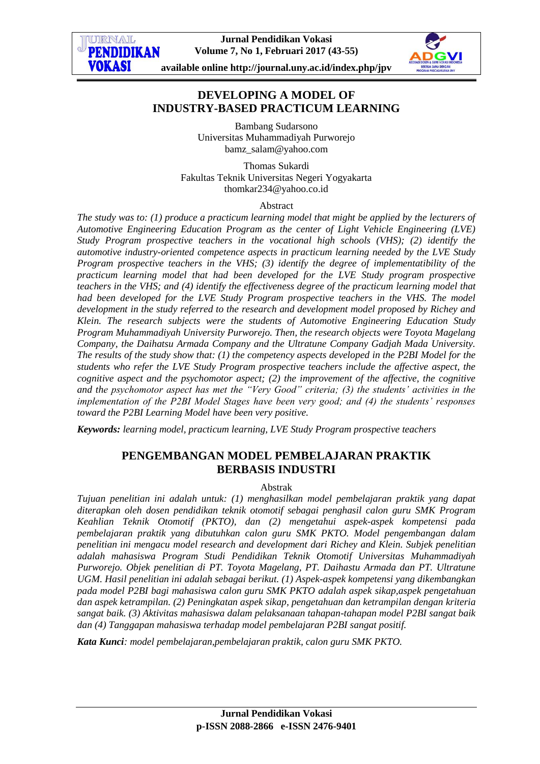

# **DEVELOPING A MODEL OF INDUSTRY-BASED PRACTICUM LEARNING**

Bambang Sudarsono Universitas Muhammadiyah Purworejo [bamz\\_salam@yahoo.com](mailto:bamz_salam@yahoo.com)

Thomas Sukardi Fakultas Teknik Universitas Negeri Yogyakarta [thomkar234@yahoo.co.id](mailto:thomkar234@yahoo.co.id)

#### Abstract

*The study was to: (1) produce a practicum learning model that might be applied by the lecturers of Automotive Engineering Education Program as the center of Light Vehicle Engineering (LVE) Study Program prospective teachers in the vocational high schools (VHS); (2) identify the automotive industry-oriented competence aspects in practicum learning needed by the LVE Study Program prospective teachers in the VHS; (3) identify the degree of implementatibility of the practicum learning model that had been developed for the LVE Study program prospective teachers in the VHS; and (4) identify the effectiveness degree of the practicum learning model that had been developed for the LVE Study Program prospective teachers in the VHS. The model development in the study referred to the research and development model proposed by Richey and Klein. The research subjects were the students of Automotive Engineering Education Study Program Muhammadiyah University Purworejo. Then, the research objects were Toyota Magelang Company, the Daihatsu Armada Company and the Ultratune Company Gadjah Mada University. The results of the study show that: (1) the competency aspects developed in the P2BI Model for the students who refer the LVE Study Program prospective teachers include the affective aspect, the cognitive aspect and the psychomotor aspect; (2) the improvement of the affective, the cognitive and the psychomotor aspect has met the "Very Good" criteria; (3) the students' activities in the implementation of the P2BI Model Stages have been very good; and (4) the students' responses toward the P2BI Learning Model have been very positive.*

*Keywords: learning model, practicum learning, LVE Study Program prospective teachers*

# **PENGEMBANGAN MODEL PEMBELAJARAN PRAKTIK BERBASIS INDUSTRI**

#### Abstrak

*Tujuan penelitian ini adalah untuk: (1) menghasilkan model pembelajaran praktik yang dapat diterapkan oleh dosen pendidikan teknik otomotif sebagai penghasil calon guru SMK Program Keahlian Teknik Otomotif (PKTO), dan (2) mengetahui aspek-aspek kompetensi pada pembelajaran praktik yang dibutuhkan calon guru SMK PKTO. Model pengembangan dalam penelitian ini mengacu model research and development dari Richey and Klein. Subjek penelitian adalah mahasiswa Program Studi Pendidikan Teknik Otomotif Universitas Muhammadiyah Purworejo. Objek penelitian di PT. Toyota Magelang, PT. Daihastu Armada dan PT. Ultratune UGM. Hasil penelitian ini adalah sebagai berikut. (1) Aspek-aspek kompetensi yang dikembangkan pada model P2BI bagi mahasiswa calon guru SMK PKTO adalah aspek sikap,aspek pengetahuan dan aspek ketrampilan. (2) Peningkatan aspek sikap, pengetahuan dan ketrampilan dengan kriteria sangat baik. (3) Aktivitas mahasiswa dalam pelaksanaan tahapan-tahapan model P2BI sangat baik dan (4) Tanggapan mahasiswa terhadap model pembelajaran P2BI sangat positif.* 

*Kata Kunci: model pembelajaran,pembelajaran praktik, calon guru SMK PKTO.*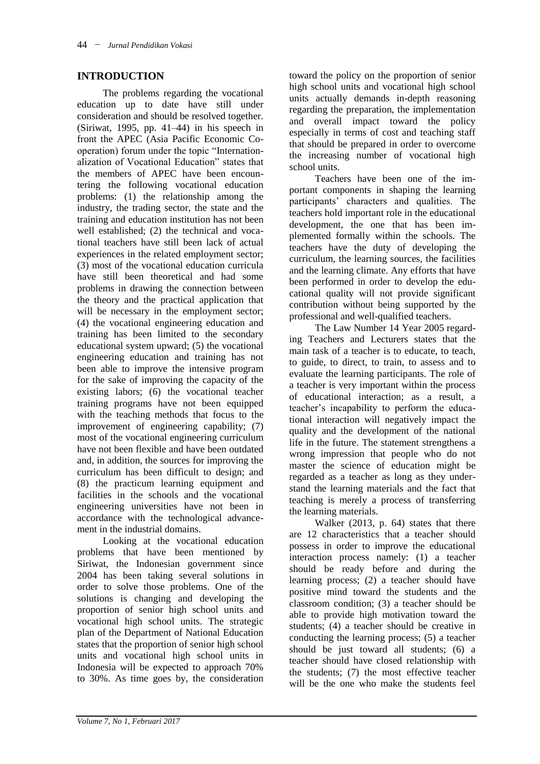### **INTRODUCTION**

The problems regarding the vocational education up to date have still under consideration and should be resolved together. (Siriwat, 1995, pp. 41–44) in his speech in front the APEC (Asia Pacific Economic Cooperation) forum under the topic "Internationalization of Vocational Education" states that the members of APEC have been encountering the following vocational education problems: (1) the relationship among the industry, the trading sector, the state and the training and education institution has not been well established; (2) the technical and vocational teachers have still been lack of actual experiences in the related employment sector; (3) most of the vocational education curricula have still been theoretical and had some problems in drawing the connection between the theory and the practical application that will be necessary in the employment sector; (4) the vocational engineering education and training has been limited to the secondary educational system upward; (5) the vocational engineering education and training has not been able to improve the intensive program for the sake of improving the capacity of the existing labors; (6) the vocational teacher training programs have not been equipped with the teaching methods that focus to the improvement of engineering capability; (7) most of the vocational engineering curriculum have not been flexible and have been outdated and, in addition, the sources for improving the curriculum has been difficult to design; and (8) the practicum learning equipment and facilities in the schools and the vocational engineering universities have not been in accordance with the technological advancement in the industrial domains.

Looking at the vocational education problems that have been mentioned by Siriwat, the Indonesian government since 2004 has been taking several solutions in order to solve those problems. One of the solutions is changing and developing the proportion of senior high school units and vocational high school units. The strategic plan of the Department of National Education states that the proportion of senior high school units and vocational high school units in Indonesia will be expected to approach 70% to 30%. As time goes by, the consideration

toward the policy on the proportion of senior high school units and vocational high school units actually demands in-depth reasoning regarding the preparation, the implementation and overall impact toward the policy especially in terms of cost and teaching staff that should be prepared in order to overcome the increasing number of vocational high school units.

Teachers have been one of the important components in shaping the learning participants' characters and qualities. The teachers hold important role in the educational development, the one that has been implemented formally within the schools. The teachers have the duty of developing the curriculum, the learning sources, the facilities and the learning climate. Any efforts that have been performed in order to develop the educational quality will not provide significant contribution without being supported by the professional and well-qualified teachers.

The Law Number 14 Year 2005 regarding Teachers and Lecturers states that the main task of a teacher is to educate, to teach, to guide, to direct, to train, to assess and to evaluate the learning participants. The role of a teacher is very important within the process of educational interaction; as a result, a teacher's incapability to perform the educational interaction will negatively impact the quality and the development of the national life in the future. The statement strengthens a wrong impression that people who do not master the science of education might be regarded as a teacher as long as they understand the learning materials and the fact that teaching is merely a process of transferring the learning materials.

Walker (2013, p. 64) states that there are 12 characteristics that a teacher should possess in order to improve the educational interaction process namely: (1) a teacher should be ready before and during the learning process; (2) a teacher should have positive mind toward the students and the classroom condition; (3) a teacher should be able to provide high motivation toward the students; (4) a teacher should be creative in conducting the learning process; (5) a teacher should be just toward all students; (6) a teacher should have closed relationship with the students; (7) the most effective teacher will be the one who make the students feel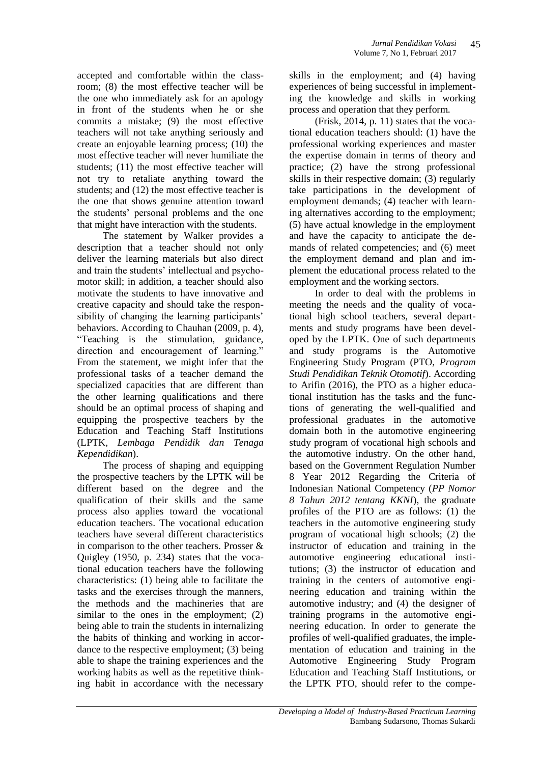accepted and comfortable within the classroom; (8) the most effective teacher will be the one who immediately ask for an apology in front of the students when he or she commits a mistake; (9) the most effective teachers will not take anything seriously and create an enjoyable learning process; (10) the most effective teacher will never humiliate the students; (11) the most effective teacher will not try to retaliate anything toward the students; and (12) the most effective teacher is the one that shows genuine attention toward the students' personal problems and the one that might have interaction with the students.

The statement by Walker provides a description that a teacher should not only deliver the learning materials but also direct and train the students' intellectual and psychomotor skill; in addition, a teacher should also motivate the students to have innovative and creative capacity and should take the responsibility of changing the learning participants' behaviors. According to Chauhan (2009, p. 4), "Teaching is the stimulation, guidance, direction and encouragement of learning." From the statement, we might infer that the professional tasks of a teacher demand the specialized capacities that are different than the other learning qualifications and there should be an optimal process of shaping and equipping the prospective teachers by the Education and Teaching Staff Institutions (LPTK, *Lembaga Pendidik dan Tenaga Kependidikan*).

The process of shaping and equipping the prospective teachers by the LPTK will be different based on the degree and the qualification of their skills and the same process also applies toward the vocational education teachers. The vocational education teachers have several different characteristics in comparison to the other teachers. Prosser & Quigley (1950, p. 234) states that the vocational education teachers have the following characteristics: (1) being able to facilitate the tasks and the exercises through the manners, the methods and the machineries that are similar to the ones in the employment; (2) being able to train the students in internalizing the habits of thinking and working in accordance to the respective employment; (3) being able to shape the training experiences and the working habits as well as the repetitive thinking habit in accordance with the necessary

skills in the employment; and (4) having experiences of being successful in implementing the knowledge and skills in working process and operation that they perform.

(Frisk, 2014, p. 11) states that the vocational education teachers should: (1) have the professional working experiences and master the expertise domain in terms of theory and practice; (2) have the strong professional skills in their respective domain; (3) regularly take participations in the development of employment demands; (4) teacher with learning alternatives according to the employment; (5) have actual knowledge in the employment and have the capacity to anticipate the demands of related competencies; and (6) meet the employment demand and plan and implement the educational process related to the employment and the working sectors.

In order to deal with the problems in meeting the needs and the quality of vocational high school teachers, several departments and study programs have been developed by the LPTK. One of such departments and study programs is the Automotive Engineering Study Program (PTO, *Program Studi Pendidikan Teknik Otomotif*). According to Arifin (2016), the PTO as a higher educational institution has the tasks and the functions of generating the well-qualified and professional graduates in the automotive domain both in the automotive engineering study program of vocational high schools and the automotive industry. On the other hand, based on the Government Regulation Number 8 Year 2012 Regarding the Criteria of Indonesian National Competency (*PP Nomor 8 Tahun 2012 tentang KKNI*), the graduate profiles of the PTO are as follows: (1) the teachers in the automotive engineering study program of vocational high schools; (2) the instructor of education and training in the automotive engineering educational institutions; (3) the instructor of education and training in the centers of automotive engineering education and training within the automotive industry; and (4) the designer of training programs in the automotive engineering education. In order to generate the profiles of well-qualified graduates, the implementation of education and training in the Automotive Engineering Study Program Education and Teaching Staff Institutions, or the LPTK PTO, should refer to the compe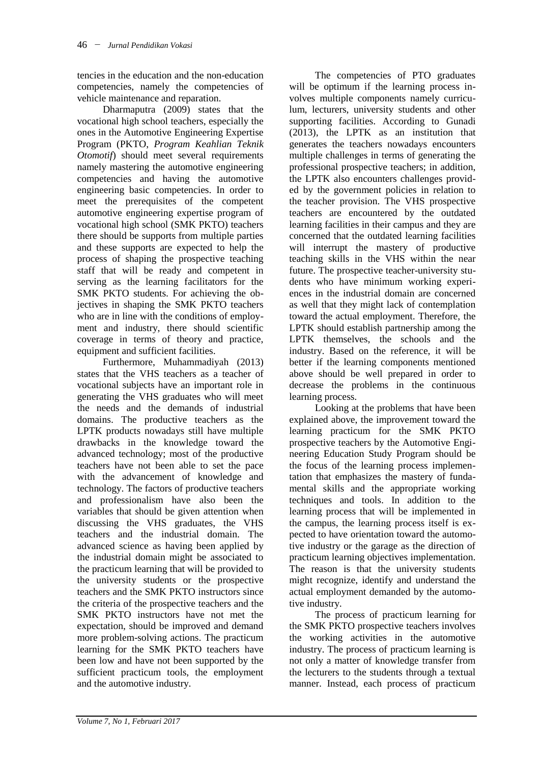tencies in the education and the non-education competencies, namely the competencies of vehicle maintenance and reparation.

Dharmaputra (2009) states that the vocational high school teachers, especially the ones in the Automotive Engineering Expertise Program (PKTO, *Program Keahlian Teknik Otomotif*) should meet several requirements namely mastering the automotive engineering competencies and having the automotive engineering basic competencies. In order to meet the prerequisites of the competent automotive engineering expertise program of vocational high school (SMK PKTO) teachers there should be supports from multiple parties and these supports are expected to help the process of shaping the prospective teaching staff that will be ready and competent in serving as the learning facilitators for the SMK PKTO students. For achieving the objectives in shaping the SMK PKTO teachers who are in line with the conditions of employment and industry, there should scientific coverage in terms of theory and practice, equipment and sufficient facilities.

Furthermore, Muhammadiyah (2013) states that the VHS teachers as a teacher of vocational subjects have an important role in generating the VHS graduates who will meet the needs and the demands of industrial domains. The productive teachers as the LPTK products nowadays still have multiple drawbacks in the knowledge toward the advanced technology; most of the productive teachers have not been able to set the pace with the advancement of knowledge and technology. The factors of productive teachers and professionalism have also been the variables that should be given attention when discussing the VHS graduates, the VHS teachers and the industrial domain. The advanced science as having been applied by the industrial domain might be associated to the practicum learning that will be provided to the university students or the prospective teachers and the SMK PKTO instructors since the criteria of the prospective teachers and the SMK PKTO instructors have not met the expectation, should be improved and demand more problem-solving actions. The practicum learning for the SMK PKTO teachers have been low and have not been supported by the sufficient practicum tools, the employment and the automotive industry.

The competencies of PTO graduates will be optimum if the learning process involves multiple components namely curriculum, lecturers, university students and other supporting facilities. According to Gunadi (2013), the LPTK as an institution that generates the teachers nowadays encounters multiple challenges in terms of generating the professional prospective teachers; in addition, the LPTK also encounters challenges provided by the government policies in relation to the teacher provision. The VHS prospective teachers are encountered by the outdated learning facilities in their campus and they are concerned that the outdated learning facilities will interrupt the mastery of productive teaching skills in the VHS within the near future. The prospective teacher-university students who have minimum working experiences in the industrial domain are concerned as well that they might lack of contemplation toward the actual employment. Therefore, the LPTK should establish partnership among the LPTK themselves, the schools and the industry. Based on the reference, it will be better if the learning components mentioned above should be well prepared in order to decrease the problems in the continuous learning process.

Looking at the problems that have been explained above, the improvement toward the learning practicum for the SMK PKTO prospective teachers by the Automotive Engineering Education Study Program should be the focus of the learning process implementation that emphasizes the mastery of fundamental skills and the appropriate working techniques and tools. In addition to the learning process that will be implemented in the campus, the learning process itself is expected to have orientation toward the automotive industry or the garage as the direction of practicum learning objectives implementation. The reason is that the university students might recognize, identify and understand the actual employment demanded by the automotive industry.

The process of practicum learning for the SMK PKTO prospective teachers involves the working activities in the automotive industry. The process of practicum learning is not only a matter of knowledge transfer from the lecturers to the students through a textual manner. Instead, each process of practicum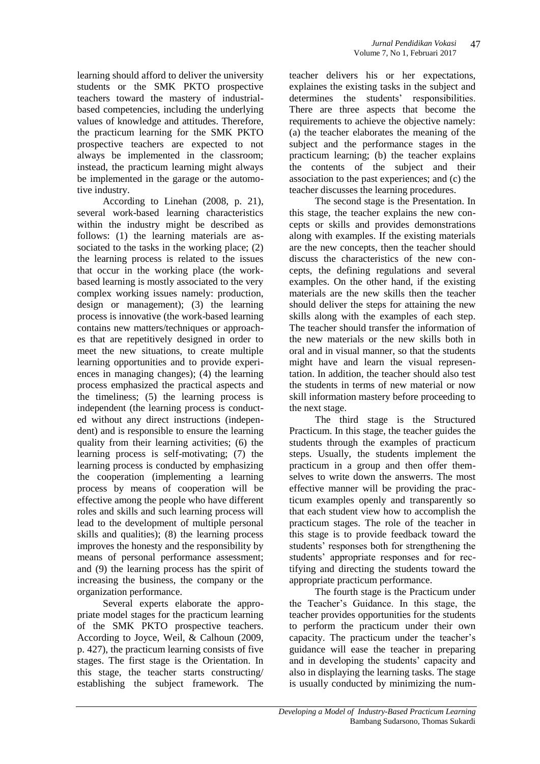learning should afford to deliver the university students or the SMK PKTO prospective teachers toward the mastery of industrialbased competencies, including the underlying values of knowledge and attitudes. Therefore, the practicum learning for the SMK PKTO prospective teachers are expected to not always be implemented in the classroom; instead, the practicum learning might always be implemented in the garage or the automotive industry.

According to Linehan (2008, p. 21), several work-based learning characteristics within the industry might be described as follows: (1) the learning materials are associated to the tasks in the working place; (2) the learning process is related to the issues that occur in the working place (the workbased learning is mostly associated to the very complex working issues namely: production, design or management); (3) the learning process is innovative (the work-based learning contains new matters/techniques or approaches that are repetitively designed in order to meet the new situations, to create multiple learning opportunities and to provide experiences in managing changes); (4) the learning process emphasized the practical aspects and the timeliness; (5) the learning process is independent (the learning process is conducted without any direct instructions (independent) and is responsible to ensure the learning quality from their learning activities; (6) the learning process is self-motivating; (7) the learning process is conducted by emphasizing the cooperation (implementing a learning process by means of cooperation will be effective among the people who have different roles and skills and such learning process will lead to the development of multiple personal skills and qualities); (8) the learning process improves the honesty and the responsibility by means of personal performance assessment; and (9) the learning process has the spirit of increasing the business, the company or the organization performance.

Several experts elaborate the appropriate model stages for the practicum learning of the SMK PKTO prospective teachers. According to Joyce, Weil, & Calhoun (2009, p. 427), the practicum learning consists of five stages. The first stage is the Orientation. In this stage, the teacher starts constructing/ establishing the subject framework. The

teacher delivers his or her expectations, explaines the existing tasks in the subject and determines the students' responsibilities. There are three aspects that become the requirements to achieve the objective namely: (a) the teacher elaborates the meaning of the subject and the performance stages in the practicum learning; (b) the teacher explains the contents of the subject and their association to the past experiences; and (c) the teacher discusses the learning procedures.

The second stage is the Presentation. In this stage, the teacher explains the new concepts or skills and provides demonstrations along with examples. If the existing materials are the new concepts, then the teacher should discuss the characteristics of the new concepts, the defining regulations and several examples. On the other hand, if the existing materials are the new skills then the teacher should deliver the steps for attaining the new skills along with the examples of each step. The teacher should transfer the information of the new materials or the new skills both in oral and in visual manner, so that the students might have and learn the visual representation. In addition, the teacher should also test the students in terms of new material or now skill information mastery before proceeding to the next stage.

The third stage is the Structured Practicum. In this stage, the teacher guides the students through the examples of practicum steps. Usually, the students implement the practicum in a group and then offer themselves to write down the answerrs. The most effective manner will be providing the practicum examples openly and transparently so that each student view how to accomplish the practicum stages. The role of the teacher in this stage is to provide feedback toward the students' responses both for strengthening the students' appropriate responses and for rectifying and directing the students toward the appropriate practicum performance.

The fourth stage is the Practicum under the Teacher's Guidance. In this stage, the teacher provides opportunities for the students to perform the practicum under their own capacity. The practicum under the teacher's guidance will ease the teacher in preparing and in developing the students' capacity and also in displaying the learning tasks. The stage is usually conducted by minimizing the num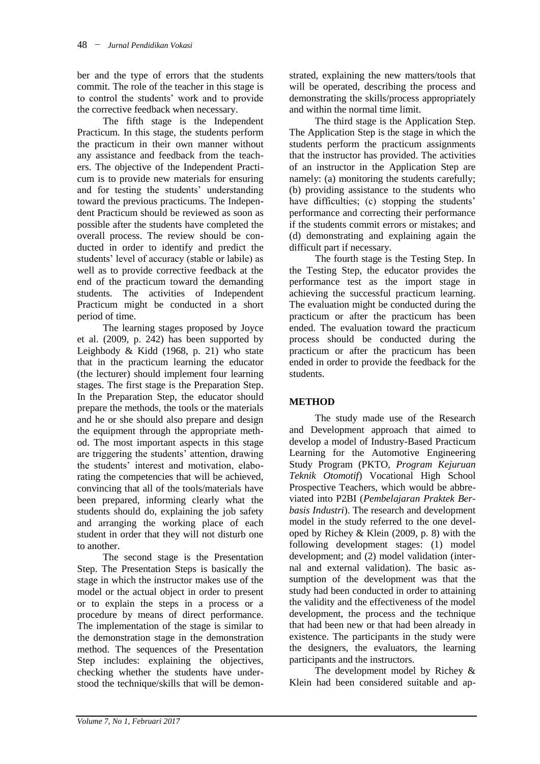ber and the type of errors that the students commit. The role of the teacher in this stage is to control the students' work and to provide the corrective feedback when necessary.

The fifth stage is the Independent Practicum. In this stage, the students perform the practicum in their own manner without any assistance and feedback from the teachers. The objective of the Independent Practicum is to provide new materials for ensuring and for testing the students' understanding toward the previous practicums. The Independent Practicum should be reviewed as soon as possible after the students have completed the overall process. The review should be conducted in order to identify and predict the students' level of accuracy (stable or labile) as well as to provide corrective feedback at the end of the practicum toward the demanding students. The activities of Independent Practicum might be conducted in a short period of time.

The learning stages proposed by Joyce et al. (2009, p. 242) has been supported by Leighbody & Kidd (1968, p. 21) who state that in the practicum learning the educator (the lecturer) should implement four learning stages. The first stage is the Preparation Step. In the Preparation Step, the educator should prepare the methods, the tools or the materials and he or she should also prepare and design the equipment through the appropriate method. The most important aspects in this stage are triggering the students' attention, drawing the students' interest and motivation, elaborating the competencies that will be achieved, convincing that all of the tools/materials have been prepared, informing clearly what the students should do, explaining the job safety and arranging the working place of each student in order that they will not disturb one to another.

The second stage is the Presentation Step. The Presentation Steps is basically the stage in which the instructor makes use of the model or the actual object in order to present or to explain the steps in a process or a procedure by means of direct performance. The implementation of the stage is similar to the demonstration stage in the demonstration method. The sequences of the Presentation Step includes: explaining the objectives, checking whether the students have understood the technique/skills that will be demonstrated, explaining the new matters/tools that will be operated, describing the process and demonstrating the skills/process appropriately and within the normal time limit.

The third stage is the Application Step. The Application Step is the stage in which the students perform the practicum assignments that the instructor has provided. The activities of an instructor in the Application Step are namely: (a) monitoring the students carefully; (b) providing assistance to the students who have difficulties; (c) stopping the students' performance and correcting their performance if the students commit errors or mistakes; and (d) demonstrating and explaining again the difficult part if necessary.

The fourth stage is the Testing Step. In the Testing Step, the educator provides the performance test as the import stage in achieving the successful practicum learning. The evaluation might be conducted during the practicum or after the practicum has been ended. The evaluation toward the practicum process should be conducted during the practicum or after the practicum has been ended in order to provide the feedback for the students.

## **METHOD**

The study made use of the Research and Development approach that aimed to develop a model of Industry-Based Practicum Learning for the Automotive Engineering Study Program (PKTO, *Program Kejuruan Teknik Otomotif*) Vocational High School Prospective Teachers, which would be abbreviated into P2BI (*Pembelajaran Praktek Berbasis Industri*). The research and development model in the study referred to the one developed by Richey & Klein (2009, p. 8) with the following development stages: (1) model development; and (2) model validation (internal and external validation). The basic assumption of the development was that the study had been conducted in order to attaining the validity and the effectiveness of the model development, the process and the technique that had been new or that had been already in existence. The participants in the study were the designers, the evaluators, the learning participants and the instructors.

The development model by Richey & Klein had been considered suitable and ap-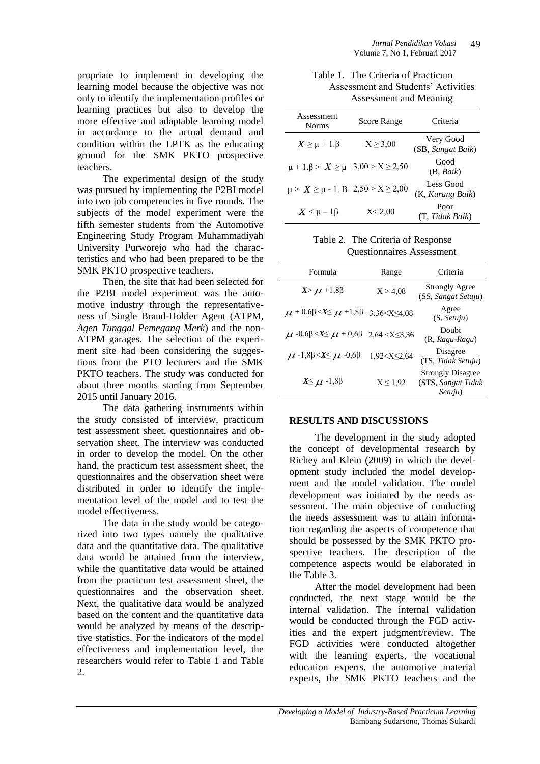propriate to implement in developing the learning model because the objective was not only to identify the implementation profiles or learning practices but also to develop the more effective and adaptable learning model in accordance to the actual demand and condition within the LPTK as the educating ground for the SMK PKTO prospective teachers.

The experimental design of the study was pursued by implementing the P2BI model into two job competencies in five rounds. The subjects of the model experiment were the fifth semester students from the Automotive Engineering Study Program Muhammadiyah University Purworejo who had the characteristics and who had been prepared to be the SMK PKTO prospective teachers.

Then, the site that had been selected for the P2BI model experiment was the automotive industry through the representativeness of Single Brand-Holder Agent (ATPM, *Agen Tunggal Pemegang Merk*) and the non-ATPM garages. The selection of the experiment site had been considering the suggestions from the PTO lecturers and the SMK PKTO teachers. The study was conducted for about three months starting from September 2015 until January 2016.

The data gathering instruments within the study consisted of interview, practicum test assessment sheet, questionnaires and observation sheet. The interview was conducted in order to develop the model. On the other hand, the practicum test assessment sheet, the questionnaires and the observation sheet were distributed in order to identify the implementation level of the model and to test the model effectiveness.

The data in the study would be categorized into two types namely the qualitative data and the quantitative data. The qualitative data would be attained from the interview, while the quantitative data would be attained from the practicum test assessment sheet, the questionnaires and the observation sheet. Next, the qualitative data would be analyzed based on the content and the quantitative data would be analyzed by means of the descriptive statistics. For the indicators of the model effectiveness and implementation level, the researchers would refer to Table 1 and Table  $\mathcal{L}$ 

Table 1. The Criteria of Practicum Assessment and Students' Activities Assessment and Meaning

| Assessment<br><b>Norms</b>                     | <b>Score Range</b> | Criteria                       |
|------------------------------------------------|--------------------|--------------------------------|
| $X \geq \mu + 1. \beta$                        | $X \geq 3.00$      | Very Good<br>(SB, Sangat Baik) |
| $\mu + 1. \beta > X \ge \mu$ 3,00 > X \ge 2,50 |                    | Good<br>(B, Baik)              |
| $\mu > X \ge \mu - 1$ . B 2,50 > X $\ge 2,00$  |                    | Less Good<br>(K, Kurang Baik)  |
| $X < \mu - 1\beta$                             | X < 2,00           | Poor<br>(T, Tidak Baik)        |

Table 2. The Criteria of Response Questionnaires Assessment

| Formula                                          | Range                                                                  | Criteria                                                  |
|--------------------------------------------------|------------------------------------------------------------------------|-----------------------------------------------------------|
| $X > \mu + 1,8\beta$                             | X > 4.08                                                               | <b>Strongly Agree</b><br>(SS, Sangat Setuju)              |
| $\mu$ + 0,6 $\beta$ < $X \leq \mu$ + 1,8 $\beta$ | 3.36 < X < 4.08                                                        | Agree<br>(S, Setui)                                       |
| $\mu$ -0,6 $\beta < X \leq \mu$ + 0,6 $\beta$    | $2,64 < X \leq 3,36$                                                   | Doubt<br>$(R, Ragu-Ragu)$                                 |
| $\mu$ -1,8 $\beta < X \leq \mu$ -0,6 $\beta$     | 1,92 <x≤2,64< td=""><td>Disagree<br/>(TS, Tidak Setuju)</td></x≤2,64<> | Disagree<br>(TS, Tidak Setuju)                            |
| $X \leq \mu$ -1,8 $\beta$                        | $X \leq 1.92$                                                          | <b>Strongly Disagree</b><br>(STS, Sangat Tidak<br>Setuju) |

#### **RESULTS AND DISCUSSIONS**

The development in the study adopted the concept of developmental research by Richey and Klein (2009) in which the development study included the model development and the model validation. The model development was initiated by the needs assessment. The main objective of conducting the needs assessment was to attain information regarding the aspects of competence that should be possessed by the SMK PKTO prospective teachers. The description of the competence aspects would be elaborated in the Table 3.

After the model development had been conducted, the next stage would be the internal validation. The internal validation would be conducted through the FGD activities and the expert judgment/review. The FGD activities were conducted altogether with the learning experts, the vocational education experts, the automotive material experts, the SMK PKTO teachers and the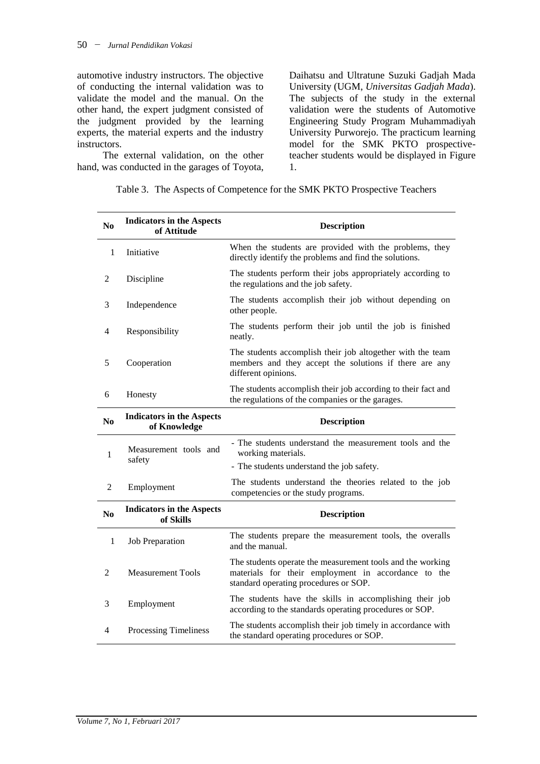automotive industry instructors. The objective of conducting the internal validation was to validate the model and the manual. On the other hand, the expert judgment consisted of the judgment provided by the learning experts, the material experts and the industry instructors.

The external validation, on the other hand, was conducted in the garages of Toyota, Daihatsu and Ultratune Suzuki Gadjah Mada University (UGM, *Universitas Gadjah Mada*). The subjects of the study in the external validation were the students of Automotive Engineering Study Program Muhammadiyah University Purworejo. The practicum learning model for the SMK PKTO prospectiveteacher students would be displayed in Figure 1.

| N <sub>0</sub> | <b>Indicators in the Aspects</b><br>of Attitude  | <b>Description</b>                                                                                                                                         |  |
|----------------|--------------------------------------------------|------------------------------------------------------------------------------------------------------------------------------------------------------------|--|
| 1              | Initiative                                       | When the students are provided with the problems, they<br>directly identify the problems and find the solutions.                                           |  |
| 2              | Discipline                                       | The students perform their jobs appropriately according to<br>the regulations and the job safety.                                                          |  |
| 3              | Independence                                     | The students accomplish their job without depending on<br>other people.                                                                                    |  |
| 4              | Responsibility                                   | The students perform their job until the job is finished<br>neatly.                                                                                        |  |
| 5              | Cooperation                                      | The students accomplish their job altogether with the team<br>members and they accept the solutions if there are any<br>different opinions.                |  |
| 6              | Honesty                                          | The students accomplish their job according to their fact and<br>the regulations of the companies or the garages.                                          |  |
| N <sub>0</sub> | <b>Indicators in the Aspects</b><br>of Knowledge | <b>Description</b>                                                                                                                                         |  |
| 1              | Measurement tools and<br>safety                  | - The students understand the measurement tools and the<br>working materials.                                                                              |  |
|                |                                                  | - The students understand the job safety.                                                                                                                  |  |
| 2              | Employment                                       | The students understand the theories related to the job<br>competencies or the study programs.                                                             |  |
| N <sub>0</sub> | <b>Indicators in the Aspects</b><br>of Skills    | <b>Description</b>                                                                                                                                         |  |
| $\mathbf{1}$   | <b>Job Preparation</b>                           | The students prepare the measurement tools, the overalls<br>and the manual.                                                                                |  |
| 2              | <b>Measurement Tools</b>                         | The students operate the measurement tools and the working<br>materials for their employment in accordance to the<br>standard operating procedures or SOP. |  |
| 3              | Employment                                       | The students have the skills in accomplishing their job<br>according to the standards operating procedures or SOP.                                         |  |
| 4              | Processing Timeliness                            | The students accomplish their job timely in accordance with<br>the standard operating procedures or SOP.                                                   |  |

Table 3. The Aspects of Competence for the SMK PKTO Prospective Teachers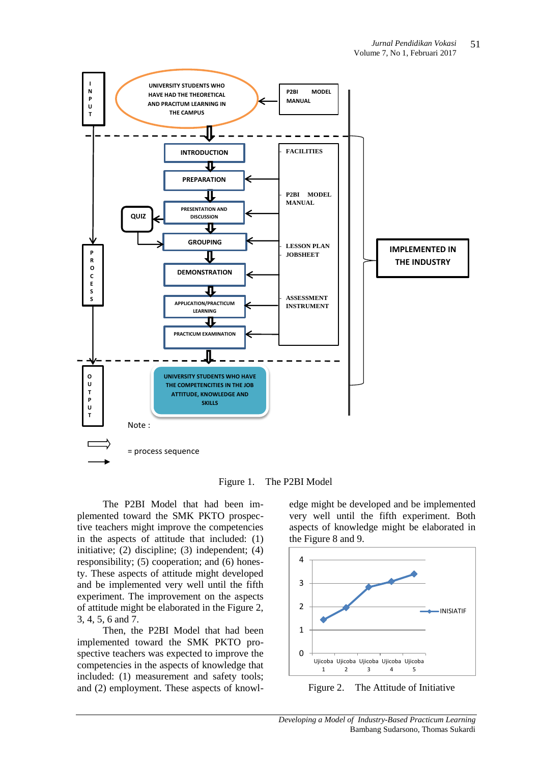

Figure 1. The P2BI Model

The P2BI Model that had been implemented toward the SMK PKTO prospective teachers might improve the competencies in the aspects of attitude that included: (1) initiative; (2) discipline; (3) independent; (4) responsibility; (5) cooperation; and (6) honesty. These aspects of attitude might developed and be implemented very well until the fifth experiment. The improvement on the aspects of attitude might be elaborated in the Figure 2, 3, 4, 5, 6 and 7.

Then, the P2BI Model that had been implemented toward the SMK PKTO prospective teachers was expected to improve the competencies in the aspects of knowledge that included: (1) measurement and safety tools; and (2) employment. These aspects of knowledge might be developed and be implemented very well until the fifth experiment. Both aspects of knowledge might be elaborated in the Figure 8 and 9.



Figure 2. The Attitude of Initiative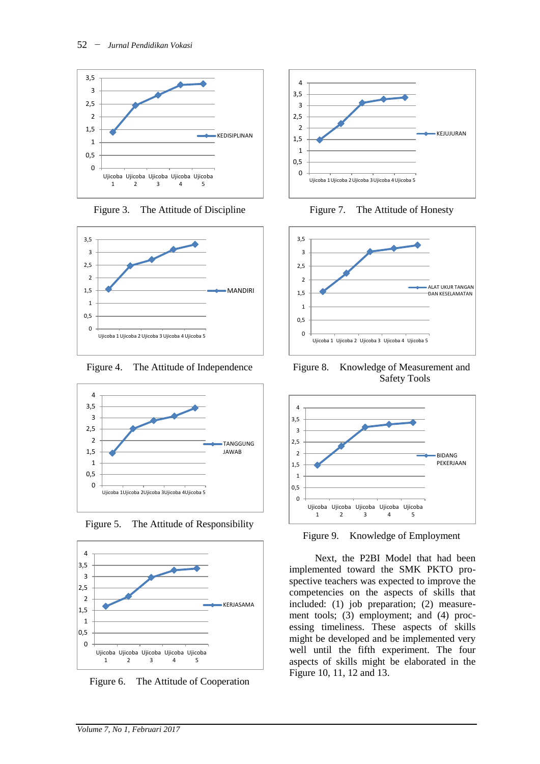

Figure 3. The Attitude of Discipline



Figure 4. The Attitude of Independence



Figure 5. The Attitude of Responsibility



Figure 6. The Attitude of Cooperation



Figure 7. The Attitude of Honesty



Figure 8. Knowledge of Measurement and Safety Tools



Figure 9. Knowledge of Employment

Next, the P2BI Model that had been implemented toward the SMK PKTO prospective teachers was expected to improve the competencies on the aspects of skills that included: (1) job preparation; (2) measurement tools; (3) employment; and (4) processing timeliness. These aspects of skills might be developed and be implemented very well until the fifth experiment. The four aspects of skills might be elaborated in the Figure 10, 11, 12 and 13.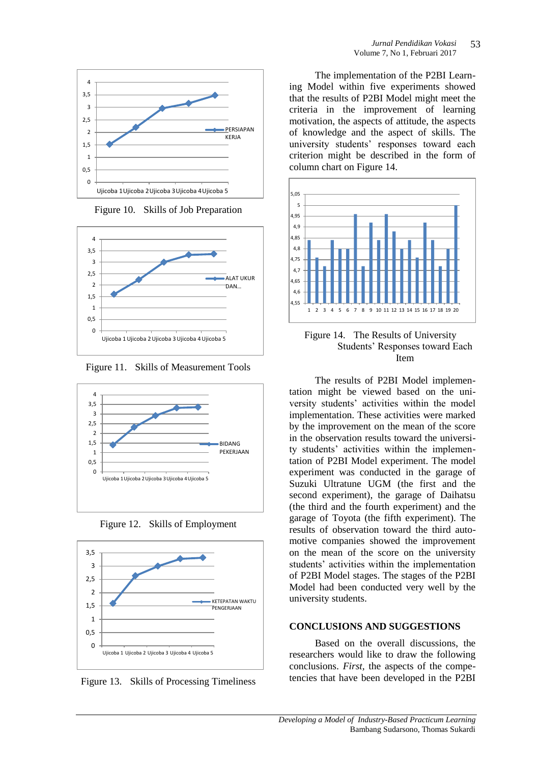

Figure 10. Skills of Job Preparation



Figure 11. Skills of Measurement Tools



Figure 12. Skills of Employment



Figure 13. Skills of Processing Timeliness

The implementation of the P2BI Learning Model within five experiments showed that the results of P2BI Model might meet the criteria in the improvement of learning motivation, the aspects of attitude, the aspects of knowledge and the aspect of skills. The university students' responses toward each criterion might be described in the form of column chart on Figure 14.



Figure 14. The Results of University Students' Responses toward Each Item

The results of P2BI Model implementation might be viewed based on the university students' activities within the model implementation. These activities were marked by the improvement on the mean of the score in the observation results toward the university students' activities within the implementation of P2BI Model experiment. The model experiment was conducted in the garage of Suzuki Ultratune UGM (the first and the second experiment), the garage of Daihatsu (the third and the fourth experiment) and the garage of Toyota (the fifth experiment). The results of observation toward the third automotive companies showed the improvement on the mean of the score on the university students' activities within the implementation of P2BI Model stages. The stages of the P2BI Model had been conducted very well by the university students.

### **CONCLUSIONS AND SUGGESTIONS**

Based on the overall discussions, the researchers would like to draw the following conclusions. *First,* the aspects of the competencies that have been developed in the P2BI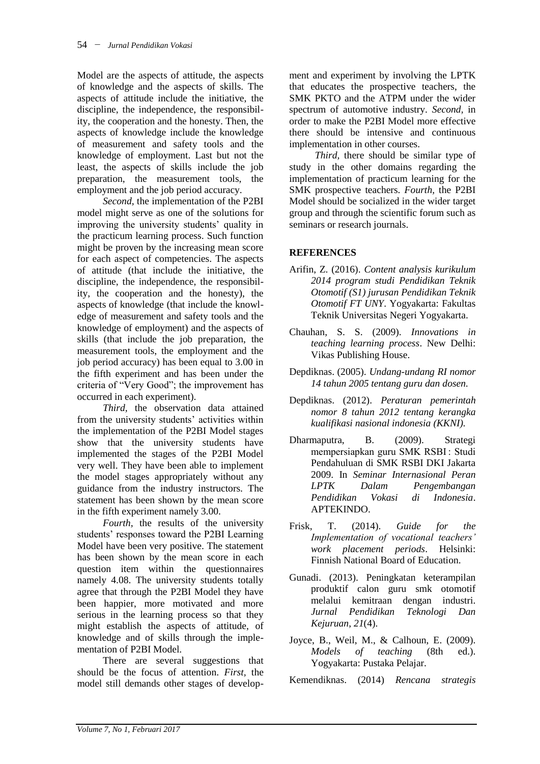Model are the aspects of attitude, the aspects of knowledge and the aspects of skills. The aspects of attitude include the initiative, the discipline, the independence, the responsibility, the cooperation and the honesty. Then, the aspects of knowledge include the knowledge of measurement and safety tools and the knowledge of employment. Last but not the least, the aspects of skills include the job preparation, the measurement tools, the employment and the job period accuracy.

*Second,* the implementation of the P2BI model might serve as one of the solutions for improving the university students' quality in the practicum learning process. Such function might be proven by the increasing mean score for each aspect of competencies. The aspects of attitude (that include the initiative, the discipline, the independence, the responsibility, the cooperation and the honesty), the aspects of knowledge (that include the knowledge of measurement and safety tools and the knowledge of employment) and the aspects of skills (that include the job preparation, the measurement tools, the employment and the job period accuracy) has been equal to 3.00 in the fifth experiment and has been under the criteria of "Very Good"; the improvement has occurred in each experiment).

*Third,* the observation data attained from the university students' activities within the implementation of the P2BI Model stages show that the university students have implemented the stages of the P2BI Model very well. They have been able to implement the model stages appropriately without any guidance from the industry instructors. The statement has been shown by the mean score in the fifth experiment namely 3.00.

*Fourth,* the results of the university students' responses toward the P2BI Learning Model have been very positive. The statement has been shown by the mean score in each question item within the questionnaires namely 4.08. The university students totally agree that through the P2BI Model they have been happier, more motivated and more serious in the learning process so that they might establish the aspects of attitude, of knowledge and of skills through the implementation of P2BI Model.

There are several suggestions that should be the focus of attention. *First,* the model still demands other stages of development and experiment by involving the LPTK that educates the prospective teachers, the SMK PKTO and the ATPM under the wider spectrum of automotive industry. *Second,* in order to make the P2BI Model more effective there should be intensive and continuous implementation in other courses.

*Third,* there should be similar type of study in the other domains regarding the implementation of practicum learning for the SMK prospective teachers. *Fourth,* the P2BI Model should be socialized in the wider target group and through the scientific forum such as seminars or research journals.

### **REFERENCES**

- Arifin, Z. (2016). *Content analysis kurikulum 2014 program studi Pendidikan Teknik Otomotif (S1) jurusan Pendidikan Teknik Otomotif FT UNY*. Yogyakarta: Fakultas Teknik Universitas Negeri Yogyakarta.
- Chauhan, S. S. (2009). *Innovations in teaching learning process*. New Delhi: Vikas Publishing House.
- Depdiknas. (2005). *Undang-undang RI nomor 14 tahun 2005 tentang guru dan dosen.*
- Depdiknas. (2012). *Peraturan pemerintah nomor 8 tahun 2012 tentang kerangka kualifikasi nasional indonesia (KKNI).*
- Dharmaputra, B. (2009). Strategi mempersiapkan guru SMK RSBI : Studi Pendahuluan di SMK RSBI DKI Jakarta 2009. In *Seminar Internasional Peran LPTK Dalam Pengembangan Pendidikan Vokasi di Indonesia*. APTEKINDO.
- Frisk, T. (2014). *Guide for the Implementation of vocational teachers' work placement periods*. Helsinki: Finnish National Board of Education.
- Gunadi. (2013). Peningkatan keterampilan produktif calon guru smk otomotif melalui kemitraan dengan industri. *Jurnal Pendidikan Teknologi Dan Kejuruan*, *21*(4).
- Joyce, B., Weil, M., & Calhoun, E. (2009). *Models of teaching* (8th ed.). Yogyakarta: Pustaka Pelajar.
- Kemendiknas. (2014) *Rencana strategis*